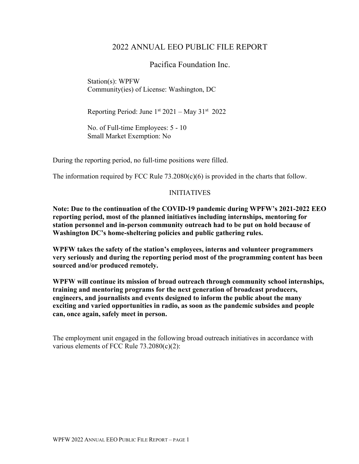## 2022 ANNUAL EEO PUBLIC FILE REPORT

Pacifica Foundation Inc.

Station(s): WPFW Community(ies) of License: Washington, DC

Reporting Period: June  $1^{st}$  2021 – May 31<sup>st</sup> 2022

No. of Full-time Employees: 5 - 10 Small Market Exemption: No

During the reporting period, no full-time positions were filled.

The information required by FCC Rule  $73.2080(c)(6)$  is provided in the charts that follow.

## INITIATIVES

**Note: Due to the continuation of the COVID-19 pandemic during WPFW's 2021-2022 EEO reporting period, most of the planned initiatives including internships, mentoring for station personnel and in-person community outreach had to be put on hold because of Washington DC's home-sheltering policies and public gathering rules.** 

**WPFW takes the safety of the station's employees, interns and volunteer programmers very seriously and during the reporting period most of the programming content has been sourced and/or produced remotely.**

**WPFW will continue its mission of broad outreach through community school internships, training and mentoring programs for the next generation of broadcast producers, engineers, and journalists and events designed to inform the public about the many exciting and varied opportunities in radio, as soon as the pandemic subsides and people can, once again, safely meet in person.**

The employment unit engaged in the following broad outreach initiatives in accordance with various elements of FCC Rule 73.2080(c)(2):